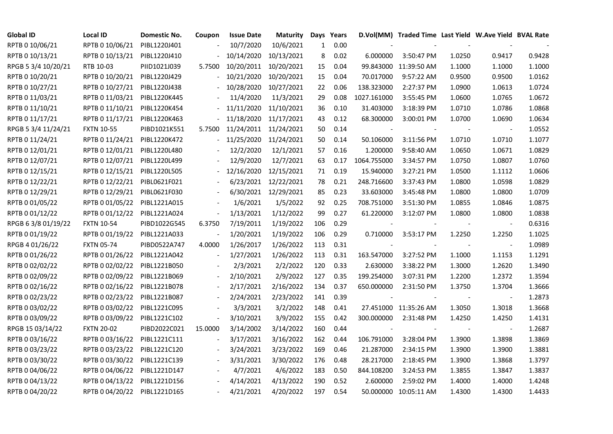| <b>Global ID</b>    | <b>Local ID</b>   | Domestic No. | Coupon                   | <b>Issue Date</b> | <b>Maturity</b> |     | Days Years |             | D.Vol(MM) Traded Time Last Yield W.Ave Yield BVAL Rate |                          |                          |        |
|---------------------|-------------------|--------------|--------------------------|-------------------|-----------------|-----|------------|-------------|--------------------------------------------------------|--------------------------|--------------------------|--------|
| RPTB 0 10/06/21     | RPTB 0 10/06/21   | PIBL1220J401 |                          | 10/7/2020         | 10/6/2021       | 1   | 0.00       |             |                                                        |                          |                          |        |
| RPTB 0 10/13/21     | RPTB 0 10/13/21   | PIBL1220J410 |                          | 10/14/2020        | 10/13/2021      | 8   | 0.02       | 6.000000    | 3:50:47 PM                                             | 1.0250                   | 0.9417                   | 0.9428 |
| RPGB 5 3/4 10/20/21 | RTB 10-03         | PIID1021J039 | 5.7500                   | 10/20/2011        | 10/20/2021      | 15  | 0.04       |             | 99.843000 11:39:50 AM                                  | 1.1000                   | 1.1000                   | 1.1000 |
| RPTB 0 10/20/21     | RPTB 0 10/20/21   | PIBL1220J429 |                          | 10/21/2020        | 10/20/2021      | 15  | 0.04       | 70.017000   | 9:57:22 AM                                             | 0.9500                   | 0.9500                   | 1.0162 |
| RPTB 0 10/27/21     | RPTB 0 10/27/21   | PIBL1220J438 |                          | 10/28/2020        | 10/27/2021      | 22  | 0.06       | 138.323000  | 2:27:37 PM                                             | 1.0900                   | 1.0613                   | 1.0724 |
| RPTB 0 11/03/21     | RPTB 0 11/03/21   | PIBL1220K445 |                          | 11/4/2020         | 11/3/2021       | 29  | 0.08       | 1027.161000 | 3:55:45 PM                                             | 1.0600                   | 1.0765                   | 1.0672 |
| RPTB 0 11/10/21     | RPTB 0 11/10/21   | PIBL1220K454 |                          | 11/11/2020        | 11/10/2021      | 36  | 0.10       | 31.403000   | 3:18:39 PM                                             | 1.0710                   | 1.0786                   | 1.0868 |
| RPTB 0 11/17/21     | RPTB 0 11/17/21   | PIBL1220K463 |                          | 11/18/2020        | 11/17/2021      | 43  | 0.12       | 68.300000   | 3:00:01 PM                                             | 1.0700                   | 1.0690                   | 1.0634 |
| RPGB 5 3/4 11/24/21 | <b>FXTN 10-55</b> | PIBD1021K551 | 5.7500                   | 11/24/2011        | 11/24/2021      | 50  | 0.14       |             |                                                        |                          |                          | 1.0552 |
| RPTB 0 11/24/21     | RPTB 0 11/24/21   | PIBL1220K472 |                          | 11/25/2020        | 11/24/2021      | 50  | 0.14       | 50.106000   | 3:11:56 PM                                             | 1.0710                   | 1.0710                   | 1.1077 |
| RPTB 0 12/01/21     | RPTB 0 12/01/21   | PIBL1220L480 |                          | 12/2/2020         | 12/1/2021       | 57  | 0.16       | 1.200000    | 9:58:40 AM                                             | 1.0650                   | 1.0671                   | 1.0829 |
| RPTB 0 12/07/21     | RPTB 0 12/07/21   | PIBL1220L499 |                          | 12/9/2020         | 12/7/2021       | 63  | 0.17       | 1064.755000 | 3:34:57 PM                                             | 1.0750                   | 1.0807                   | 1.0760 |
| RPTB 0 12/15/21     | RPTB 0 12/15/21   | PIBL1220L505 |                          | 12/16/2020        | 12/15/2021      | 71  | 0.19       | 15.940000   | 3:27:21 PM                                             | 1.0500                   | 1.1112                   | 1.0606 |
| RPTB 0 12/22/21     | RPTB 0 12/22/21   | PIBL0621F021 |                          | 6/23/2021         | 12/22/2021      | 78  | 0.21       | 248.716600  | 3:37:43 PM                                             | 1.0800                   | 1.0598                   | 1.0829 |
| RPTB 0 12/29/21     | RPTB 0 12/29/21   | PIBL0621F030 |                          | 6/30/2021         | 12/29/2021      | 85  | 0.23       | 33.603000   | 3:45:48 PM                                             | 1.0800                   | 1.0800                   | 1.0709 |
| RPTB 0 01/05/22     | RPTB 0 01/05/22   | PIBL1221A015 |                          | 1/6/2021          | 1/5/2022        | 92  | 0.25       | 708.751000  | 3:51:30 PM                                             | 1.0855                   | 1.0846                   | 1.0875 |
| RPTB 0 01/12/22     | RPTB 0 01/12/22   | PIBL1221A024 | $\overline{\phantom{a}}$ | 1/13/2021         | 1/12/2022       | 99  | 0.27       | 61.220000   | 3:12:07 PM                                             | 1.0800                   | 1.0800                   | 1.0838 |
| RPGB 63/8 01/19/22  | <b>FXTN 10-54</b> | PIBD1022G545 | 6.3750                   | 7/19/2011         | 1/19/2022       | 106 | 0.29       |             |                                                        |                          | $\blacksquare$           | 0.6316 |
| RPTB 0 01/19/22     | RPTB 0 01/19/22   | PIBL1221A033 |                          | 1/20/2021         | 1/19/2022       | 106 | 0.29       | 0.710000    | 3:53:17 PM                                             | 1.2250                   | 1.2250                   | 1.1025 |
| RPGB 4 01/26/22     | <b>FXTN 05-74</b> | PIBD0522A747 | 4.0000                   | 1/26/2017         | 1/26/2022       | 113 | 0.31       |             |                                                        | $\overline{\phantom{a}}$ | $\blacksquare$           | 1.0989 |
| RPTB 0 01/26/22     | RPTB 0 01/26/22   | PIBL1221A042 | $\overline{\phantom{a}}$ | 1/27/2021         | 1/26/2022       | 113 | 0.31       | 163.547000  | 3:27:52 PM                                             | 1.1000                   | 1.1153                   | 1.1291 |
| RPTB 0 02/02/22     | RPTB 0 02/02/22   | PIBL1221B050 |                          | 2/3/2021          | 2/2/2022        | 120 | 0.33       | 2.630000    | 3:38:22 PM                                             | 1.3000                   | 1.2620                   | 1.3490 |
| RPTB 0 02/09/22     | RPTB 0 02/09/22   | PIBL1221B069 |                          | 2/10/2021         | 2/9/2022        | 127 | 0.35       | 199.254000  | 3:07:31 PM                                             | 1.2200                   | 1.2372                   | 1.3594 |
| RPTB 0 02/16/22     | RPTB 0 02/16/22   | PIBL1221B078 | $\overline{\phantom{a}}$ | 2/17/2021         | 2/16/2022       | 134 | 0.37       | 650.000000  | 2:31:50 PM                                             | 1.3750                   | 1.3704                   | 1.3666 |
| RPTB 0 02/23/22     | RPTB 0 02/23/22   | PIBL1221B087 | $\blacksquare$           | 2/24/2021         | 2/23/2022       | 141 | 0.39       |             |                                                        |                          | $\overline{\phantom{a}}$ | 1.2873 |
| RPTB 0 03/02/22     | RPTB 0 03/02/22   | PIBL1221C095 |                          | 3/3/2021          | 3/2/2022        | 148 | 0.41       |             | 27.451000 11:35:26 AM                                  | 1.3050                   | 1.3018                   | 1.3668 |
| RPTB 0 03/09/22     | RPTB 0 03/09/22   | PIBL1221C102 | $\blacksquare$           | 3/10/2021         | 3/9/2022        | 155 | 0.42       | 300.000000  | 2:31:48 PM                                             | 1.4250                   | 1.4250                   | 1.4131 |
| RPGB 15 03/14/22    | <b>FXTN 20-02</b> | PIBD2022C021 | 15.0000                  | 3/14/2002         | 3/14/2022       | 160 | 0.44       |             |                                                        |                          | $\blacksquare$           | 1.2687 |
| RPTB 0 03/16/22     | RPTB 0 03/16/22   | PIBL1221C111 | $\blacksquare$           | 3/17/2021         | 3/16/2022       | 162 | 0.44       | 106.791000  | 3:28:04 PM                                             | 1.3900                   | 1.3898                   | 1.3869 |
| RPTB 0 03/23/22     | RPTB 0 03/23/22   | PIBL1221C120 |                          | 3/24/2021         | 3/23/2022       | 169 | 0.46       | 21.287000   | 2:34:15 PM                                             | 1.3900                   | 1.3900                   | 1.3881 |
| RPTB 0 03/30/22     | RPTB 0 03/30/22   | PIBL1221C139 |                          | 3/31/2021         | 3/30/2022       | 176 | 0.48       | 28.217000   | 2:18:45 PM                                             | 1.3900                   | 1.3868                   | 1.3797 |
| RPTB 0 04/06/22     | RPTB 0 04/06/22   | PIBL1221D147 |                          | 4/7/2021          | 4/6/2022        | 183 | 0.50       | 844.108200  | 3:24:53 PM                                             | 1.3855                   | 1.3847                   | 1.3837 |
| RPTB 0 04/13/22     | RPTB 0 04/13/22   | PIBL1221D156 |                          | 4/14/2021         | 4/13/2022       | 190 | 0.52       | 2.600000    | 2:59:02 PM                                             | 1.4000                   | 1.4000                   | 1.4248 |
| RPTB 0 04/20/22     | RPTB 0 04/20/22   | PIBL1221D165 |                          | 4/21/2021         | 4/20/2022       | 197 | 0.54       |             | 50.000000 10:05:11 AM                                  | 1.4300                   | 1.4300                   | 1.4433 |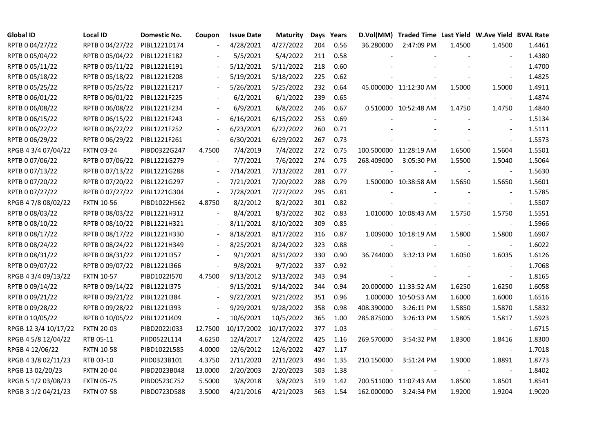| <b>Global ID</b>     | Local ID          | Domestic No. | Coupon                   | <b>Issue Date</b> | <b>Maturity</b> |     | Days Years |                          | D.Vol(MM) Traded Time Last Yield W.Ave Yield BVAL Rate |        |                          |        |
|----------------------|-------------------|--------------|--------------------------|-------------------|-----------------|-----|------------|--------------------------|--------------------------------------------------------|--------|--------------------------|--------|
| RPTB 0 04/27/22      | RPTB 0 04/27/22   | PIBL1221D174 |                          | 4/28/2021         | 4/27/2022       | 204 | 0.56       | 36.280000                | 2:47:09 PM                                             | 1.4500 | 1.4500                   | 1.4461 |
| RPTB 0 05/04/22      | RPTB 0 05/04/22   | PIBL1221E182 |                          | 5/5/2021          | 5/4/2022        | 211 | 0.58       |                          |                                                        |        |                          | 1.4380 |
| RPTB 0 05/11/22      | RPTB 0 05/11/22   | PIBL1221E191 |                          | 5/12/2021         | 5/11/2022       | 218 | 0.60       |                          |                                                        |        | $\blacksquare$           | 1.4700 |
| RPTB 0 05/18/22      | RPTB 0 05/18/22   | PIBL1221E208 | $\blacksquare$           | 5/19/2021         | 5/18/2022       | 225 | 0.62       |                          |                                                        |        | $\sim$                   | 1.4825 |
| RPTB 0 05/25/22      | RPTB 0 05/25/22   | PIBL1221E217 |                          | 5/26/2021         | 5/25/2022       | 232 | 0.64       |                          | 45.000000 11:12:30 AM                                  | 1.5000 | 1.5000                   | 1.4911 |
| RPTB 0 06/01/22      | RPTB 0 06/01/22   | PIBL1221F225 |                          | 6/2/2021          | 6/1/2022        | 239 | 0.65       |                          |                                                        |        |                          | 1.4874 |
| RPTB 0 06/08/22      | RPTB 0 06/08/22   | PIBL1221F234 |                          | 6/9/2021          | 6/8/2022        | 246 | 0.67       |                          | 0.510000 10:52:48 AM                                   | 1.4750 | 1.4750                   | 1.4840 |
| RPTB 0 06/15/22      | RPTB 0 06/15/22   | PIBL1221F243 |                          | 6/16/2021         | 6/15/2022       | 253 | 0.69       |                          |                                                        |        |                          | 1.5134 |
| RPTB 0 06/22/22      | RPTB 0 06/22/22   | PIBL1221F252 |                          | 6/23/2021         | 6/22/2022       | 260 | 0.71       |                          |                                                        |        |                          | 1.5111 |
| RPTB 0 06/29/22      | RPTB 0 06/29/22   | PIBL1221F261 | $\blacksquare$           | 6/30/2021         | 6/29/2022       | 267 | 0.73       |                          |                                                        |        | $\overline{\phantom{a}}$ | 1.5573 |
| RPGB 4 3/4 07/04/22  | <b>FXTN 03-24</b> | PIBD0322G247 | 4.7500                   | 7/4/2019          | 7/4/2022        | 272 | 0.75       |                          | 100.500000 11:28:19 AM                                 | 1.6500 | 1.5604                   | 1.5501 |
| RPTB 0 07/06/22      | RPTB 0 07/06/22   | PIBL1221G279 | $\overline{\phantom{a}}$ | 7/7/2021          | 7/6/2022        | 274 | 0.75       | 268.409000               | 3:05:30 PM                                             | 1.5500 | 1.5040                   | 1.5064 |
| RPTB 0 07/13/22      | RPTB 0 07/13/22   | PIBL1221G288 | $\blacksquare$           | 7/14/2021         | 7/13/2022       | 281 | 0.77       |                          |                                                        |        | $\blacksquare$           | 1.5630 |
| RPTB 0 07/20/22      | RPTB 0 07/20/22   | PIBL1221G297 | $\blacksquare$           | 7/21/2021         | 7/20/2022       | 288 | 0.79       |                          | 1.500000 10:38:58 AM                                   | 1.5650 | 1.5650                   | 1.5601 |
| RPTB 0 07/27/22      | RPTB 0 07/27/22   | PIBL1221G304 | $\overline{\phantom{a}}$ | 7/28/2021         | 7/27/2022       | 295 | 0.81       |                          |                                                        |        |                          | 1.5785 |
| RPGB 4 7/8 08/02/22  | <b>FXTN 10-56</b> | PIBD1022H562 | 4.8750                   | 8/2/2012          | 8/2/2022        | 301 | 0.82       |                          |                                                        |        |                          | 1.5507 |
| RPTB 0 08/03/22      | RPTB 0 08/03/22   | PIBL1221H312 |                          | 8/4/2021          | 8/3/2022        | 302 | 0.83       |                          | 1.010000 10:08:43 AM                                   | 1.5750 | 1.5750                   | 1.5551 |
| RPTB 0 08/10/22      | RPTB 0 08/10/22   | PIBL1221H321 | $\blacksquare$           | 8/11/2021         | 8/10/2022       | 309 | 0.85       |                          |                                                        |        |                          | 1.5966 |
| RPTB 0 08/17/22      | RPTB 0 08/17/22   | PIBL1221H330 |                          | 8/18/2021         | 8/17/2022       | 316 | 0.87       |                          | 1.009000 10:18:19 AM                                   | 1.5800 | 1.5800                   | 1.6907 |
| RPTB 0 08/24/22      | RPTB 0 08/24/22   | PIBL1221H349 | $\overline{\phantom{a}}$ | 8/25/2021         | 8/24/2022       | 323 | 0.88       |                          |                                                        |        | $\blacksquare$           | 1.6022 |
| RPTB 0 08/31/22      | RPTB 0 08/31/22   | PIBL1221I357 |                          | 9/1/2021          | 8/31/2022       | 330 | 0.90       | 36.744000                | 3:32:13 PM                                             | 1.6050 | 1.6035                   | 1.6126 |
| RPTB 0 09/07/22      | RPTB 0 09/07/22   | PIBL1221I366 | $\overline{\phantom{a}}$ | 9/8/2021          | 9/7/2022        | 337 | 0.92       |                          |                                                        |        | $\blacksquare$           | 1.7068 |
| RPGB 4 3/4 09/13/22  | <b>FXTN 10-57</b> | PIBD1022I570 | 4.7500                   | 9/13/2012         | 9/13/2022       | 343 | 0.94       |                          |                                                        |        | $\blacksquare$           | 1.8165 |
| RPTB 0 09/14/22      | RPTB 0 09/14/22   | PIBL1221I375 |                          | 9/15/2021         | 9/14/2022       | 344 | 0.94       |                          | 20.000000 11:33:52 AM                                  | 1.6250 | 1.6250                   | 1.6058 |
| RPTB 0 09/21/22      | RPTB 0 09/21/22   | PIBL1221I384 | $\overline{\phantom{a}}$ | 9/22/2021         | 9/21/2022       | 351 | 0.96       |                          | 1.000000 10:50:53 AM                                   | 1.6000 | 1.6000                   | 1.6516 |
| RPTB 0 09/28/22      | RPTB 0 09/28/22   | PIBL1221I393 |                          | 9/29/2021         | 9/28/2022       | 358 | 0.98       | 408.390000               | 3:26:11 PM                                             | 1.5850 | 1.5870                   | 1.5832 |
| RPTB 0 10/05/22      | RPTB 0 10/05/22   | PIBL1221J409 | $\frac{1}{2}$            | 10/6/2021         | 10/5/2022       | 365 | 1.00       | 285.875000               | 3:26:13 PM                                             | 1.5805 | 1.5817                   | 1.5923 |
| RPGB 12 3/4 10/17/22 | <b>FXTN 20-03</b> | PIBD2022J033 | 12.7500                  | 10/17/2002        | 10/17/2022      | 377 | 1.03       | $\overline{\phantom{a}}$ |                                                        |        | $\blacksquare$           | 1.6715 |
| RPGB 4 5/8 12/04/22  | RTB 05-11         | PIID0522L114 | 4.6250                   | 12/4/2017         | 12/4/2022       | 425 | 1.16       | 269.570000               | 3:54:32 PM                                             | 1.8300 | 1.8416                   | 1.8300 |
| RPGB 4 12/06/22      | <b>FXTN 10-58</b> | PIBD1022L585 | 4.0000                   | 12/6/2012         | 12/6/2022       | 427 | 1.17       |                          |                                                        |        |                          | 1.7018 |
| RPGB 4 3/8 02/11/23  | RTB 03-10         | PIID0323B101 | 4.3750                   | 2/11/2020         | 2/11/2023       | 494 | 1.35       | 210.150000               | 3:51:24 PM                                             | 1.9000 | 1.8891                   | 1.8773 |
| RPGB 13 02/20/23     | <b>FXTN 20-04</b> | PIBD2023B048 | 13.0000                  | 2/20/2003         | 2/20/2023       | 503 | 1.38       |                          |                                                        |        |                          | 1.8402 |
| RPGB 5 1/2 03/08/23  | <b>FXTN 05-75</b> | PIBD0523C752 | 5.5000                   | 3/8/2018          | 3/8/2023        | 519 | 1.42       |                          | 700.511000 11:07:43 AM                                 | 1.8500 | 1.8501                   | 1.8541 |
| RPGB 3 1/2 04/21/23  | <b>FXTN 07-58</b> | PIBD0723D588 | 3.5000                   | 4/21/2016         | 4/21/2023       | 563 | 1.54       | 162.000000               | 3:24:34 PM                                             | 1.9200 | 1.9204                   | 1.9020 |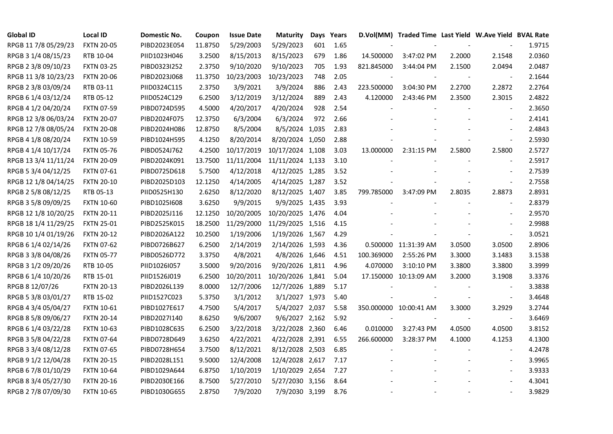| <b>Global ID</b>     | <b>Local ID</b>   | Domestic No. | Coupon  | <b>Issue Date</b> | <b>Maturity</b>  |     | Days Years |            | D.Vol(MM) Traded Time Last Yield W.Ave Yield BVAL Rate |        |                          |        |
|----------------------|-------------------|--------------|---------|-------------------|------------------|-----|------------|------------|--------------------------------------------------------|--------|--------------------------|--------|
| RPGB 11 7/8 05/29/23 | <b>FXTN 20-05</b> | PIBD2023E054 | 11.8750 | 5/29/2003         | 5/29/2023        | 601 | 1.65       |            |                                                        |        |                          | 1.9715 |
| RPGB 3 1/4 08/15/23  | RTB 10-04         | PIID1023H046 | 3.2500  | 8/15/2013         | 8/15/2023        | 679 | 1.86       | 14.500000  | 3:47:02 PM                                             | 2.2000 | 2.1548                   | 2.0360 |
| RPGB 2 3/8 09/10/23  | <b>FXTN 03-25</b> | PIBD0323I252 | 2.3750  | 9/10/2020         | 9/10/2023        | 705 | 1.93       | 821.845000 | 3:44:04 PM                                             | 2.1500 | 2.0494                   | 2.0487 |
| RPGB 11 3/8 10/23/23 | <b>FXTN 20-06</b> | PIBD2023J068 | 11.3750 | 10/23/2003        | 10/23/2023       | 748 | 2.05       |            |                                                        |        | $\overline{\phantom{a}}$ | 2.1644 |
| RPGB 2 3/8 03/09/24  | RTB 03-11         | PIID0324C115 | 2.3750  | 3/9/2021          | 3/9/2024         | 886 | 2.43       | 223.500000 | 3:04:30 PM                                             | 2.2700 | 2.2872                   | 2.2764 |
| RPGB 6 1/4 03/12/24  | RTB 05-12         | PIID0524C129 | 6.2500  | 3/12/2019         | 3/12/2024        | 889 | 2.43       | 4.120000   | 2:43:46 PM                                             | 2.3500 | 2.3015                   | 2.4822 |
| RPGB 4 1/2 04/20/24  | <b>FXTN 07-59</b> | PIBD0724D595 | 4.5000  | 4/20/2017         | 4/20/2024        | 928 | 2.54       |            |                                                        |        | $\blacksquare$           | 2.3650 |
| RPGB 12 3/8 06/03/24 | <b>FXTN 20-07</b> | PIBD2024F075 | 12.3750 | 6/3/2004          | 6/3/2024         | 972 | 2.66       |            |                                                        |        | $\blacksquare$           | 2.4141 |
| RPGB 12 7/8 08/05/24 | <b>FXTN 20-08</b> | PIBD2024H086 | 12.8750 | 8/5/2004          | 8/5/2024 1,035   |     | 2.83       |            |                                                        |        |                          | 2.4843 |
| RPGB 4 1/8 08/20/24  | <b>FXTN 10-59</b> | PIBD1024H595 | 4.1250  | 8/20/2014         | 8/20/2024 1,050  |     | 2.88       |            |                                                        |        | $\overline{\phantom{a}}$ | 2.5930 |
| RPGB 4 1/4 10/17/24  | <b>FXTN 05-76</b> | PIBD0524J762 | 4.2500  | 10/17/2019        | 10/17/2024 1,108 |     | 3.03       | 13.000000  | 2:31:15 PM                                             | 2.5800 | 2.5800                   | 2.5727 |
| RPGB 13 3/4 11/11/24 | <b>FXTN 20-09</b> | PIBD2024K091 | 13.7500 | 11/11/2004        | 11/11/2024 1,133 |     | 3.10       |            |                                                        |        | $\blacksquare$           | 2.5917 |
| RPGB 5 3/4 04/12/25  | FXTN 07-61        | PIBD0725D618 | 5.7500  | 4/12/2018         | 4/12/2025 1,285  |     | 3.52       |            |                                                        |        | $\overline{\phantom{a}}$ | 2.7539 |
| RPGB 12 1/8 04/14/25 | <b>FXTN 20-10</b> | PIBD2025D103 | 12.1250 | 4/14/2005         | 4/14/2025 1,287  |     | 3.52       |            |                                                        |        | $\blacksquare$           | 2.7558 |
| RPGB 2 5/8 08/12/25  | RTB 05-13         | PIID0525H130 | 2.6250  | 8/12/2020         | 8/12/2025 1,407  |     | 3.85       | 799.785000 | 3:47:09 PM                                             | 2.8035 | 2.8873                   | 2.8931 |
| RPGB 3 5/8 09/09/25  | <b>FXTN 10-60</b> | PIBD10251608 | 3.6250  | 9/9/2015          | 9/9/2025 1,435   |     | 3.93       |            |                                                        |        |                          | 2.8379 |
| RPGB 12 1/8 10/20/25 | <b>FXTN 20-11</b> | PIBD2025J116 | 12.1250 | 10/20/2005        | 10/20/2025 1,476 |     | 4.04       |            |                                                        |        | $\sim$                   | 2.9570 |
| RPGB 18 1/4 11/29/25 | <b>FXTN 25-01</b> | PIBD2525K015 | 18.2500 | 11/29/2000        | 11/29/2025 1,516 |     | 4.15       |            |                                                        |        | $\blacksquare$           | 2.9988 |
| RPGB 10 1/4 01/19/26 | <b>FXTN 20-12</b> | PIBD2026A122 | 10.2500 | 1/19/2006         | 1/19/2026 1,567  |     | 4.29       |            |                                                        |        | $\blacksquare$           | 3.0521 |
| RPGB 6 1/4 02/14/26  | <b>FXTN 07-62</b> | PIBD0726B627 | 6.2500  | 2/14/2019         | 2/14/2026 1,593  |     | 4.36       |            | 0.500000 11:31:39 AM                                   | 3.0500 | 3.0500                   | 2.8906 |
| RPGB 3 3/8 04/08/26  | <b>FXTN 05-77</b> | PIBD0526D772 | 3.3750  | 4/8/2021          | 4/8/2026 1,646   |     | 4.51       | 100.369000 | 2:55:26 PM                                             | 3.3000 | 3.1483                   | 3.1538 |
| RPGB 3 1/2 09/20/26  | RTB 10-05         | PIID1026I057 | 3.5000  | 9/20/2016         | 9/20/2026 1,811  |     | 4.96       | 4.070000   | 3:10:10 PM                                             | 3.3800 | 3.3800                   | 3.3999 |
| RPGB 6 1/4 10/20/26  | RTB 15-01         | PIID1526J019 | 6.2500  | 10/20/2011        | 10/20/2026 1,841 |     | 5.04       |            | 17.150000 10:13:09 AM                                  | 3.2000 | 3.1908                   | 3.3376 |
| RPGB 8 12/07/26      | <b>FXTN 20-13</b> | PIBD2026L139 | 8.0000  | 12/7/2006         | 12/7/2026 1,889  |     | 5.17       |            |                                                        |        |                          | 3.3838 |
| RPGB 5 3/8 03/01/27  | RTB 15-02         | PIID1527C023 | 5.3750  | 3/1/2012          | 3/1/2027 1,973   |     | 5.40       |            |                                                        |        | $\overline{\phantom{a}}$ | 3.4648 |
| RPGB 4 3/4 05/04/27  | <b>FXTN 10-61</b> | PIBD1027E617 | 4.7500  | 5/4/2017          | 5/4/2027 2,037   |     | 5.58       |            | 350.000000 10:00:41 AM                                 | 3.3000 | 3.2929                   | 3.2744 |
| RPGB 8 5/8 09/06/27  | <b>FXTN 20-14</b> | PIBD2027I140 | 8.6250  | 9/6/2007          | 9/6/2027 2,162   |     | 5.92       |            |                                                        |        | $\overline{\phantom{a}}$ | 3.6469 |
| RPGB 6 1/4 03/22/28  | <b>FXTN 10-63</b> | PIBD1028C635 | 6.2500  | 3/22/2018         | 3/22/2028 2,360  |     | 6.46       | 0.010000   | 3:27:43 PM                                             | 4.0500 | 4.0500                   | 3.8152 |
| RPGB 3 5/8 04/22/28  | <b>FXTN 07-64</b> | PIBD0728D649 | 3.6250  | 4/22/2021         | 4/22/2028 2,391  |     | 6.55       | 266.600000 | 3:28:37 PM                                             | 4.1000 | 4.1253                   | 4.1300 |
| RPGB 3 3/4 08/12/28  | <b>FXTN 07-65</b> | PIBD0728H654 | 3.7500  | 8/12/2021         | 8/12/2028 2,503  |     | 6.85       |            |                                                        |        |                          | 4.2478 |
| RPGB 9 1/2 12/04/28  | <b>FXTN 20-15</b> | PIBD2028L151 | 9.5000  | 12/4/2008         | 12/4/2028 2,617  |     | 7.17       |            |                                                        |        | $\blacksquare$           | 3.9965 |
| RPGB 67/8 01/10/29   | <b>FXTN 10-64</b> | PIBD1029A644 | 6.8750  | 1/10/2019         | 1/10/2029 2,654  |     | 7.27       |            |                                                        |        | $\overline{\phantom{a}}$ | 3.9333 |
| RPGB 8 3/4 05/27/30  | <b>FXTN 20-16</b> | PIBD2030E166 | 8.7500  | 5/27/2010         | 5/27/2030 3,156  |     | 8.64       |            |                                                        |        |                          | 4.3041 |
| RPGB 2 7/8 07/09/30  | <b>FXTN 10-65</b> | PIBD1030G655 | 2.8750  | 7/9/2020          | 7/9/2030 3,199   |     | 8.76       |            |                                                        |        | $\blacksquare$           | 3.9829 |